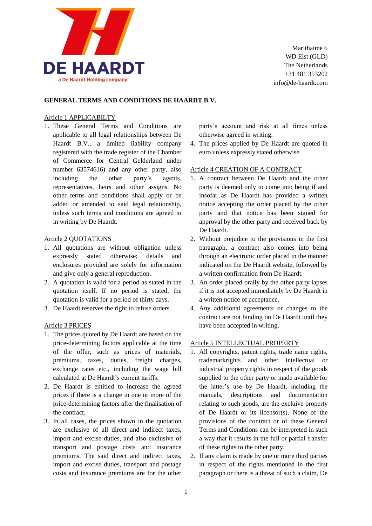

Marithaime 6 WD Elst (GLD) The Netherlands +31 481 353202 info@de-haardt.com

# **GENERAL TERMS AND CONDITIONS DE HAARDT B.V.**

## Article 1 APPLICABILTY

1. These General Terms and Conditions are applicable to all legal relationships between De Haardt B.V., a limited liability company registered with the trade register of the Chamber of Commerce for Central Gelderland under number 63574616) and any other party, also including the other party's agents, representatives, heirs and other assigns. No other terms and conditions shall apply or be added or amended to said legal relationship, unless such terms and conditions are agreed to in writing by De Haardt.

## Article 2 QUOTATIONS

- 1. All quotations are without obligation unless expressly stated otherwise; details and enclosures provided are solely for information and give only a general reproduction.
- 2. A quotation is valid for a period as stated in the quotation itself. If no period is stated, the quotation is valid for a period of thirty days.
- 3. De Haardt reserves the right to refuse orders.

#### Article 3 PRICES

- 1. The prices quoted by De Haardt are based on the price-determining factors applicable at the time of the offer, such as prices of materials, premiums, taxes, duties, freight charges, exchange rates etc., including the wage bill calculated at De Haardt's current tariffs.
- 2. De Haardt is entitled to increase the agreed prices if there is a change in one or more of the price-determining factors after the finalisation of the contract.
- 3. In all cases, the prices shown in the quotation are exclusive of all direct and indirect taxes, import and excise duties, and also exclusive of transport and postage costs and insurance premiums. The said direct and indirect taxes, import and excise duties, transport and postage costs and insurance premiums are for the other

party's account and risk at all times unless otherwise agreed in writing.

4. The prices applied by De Haardt are quoted in euro unless expressly stated otherwise.

# Article 4 CREATION OF A CONTRACT

- 1. A contract between De Haardt and the other party is deemed only to come into being if and insofar as De Haardt has provided a written notice accepting the order placed by the other party and that notice has been signed for approval by the other party and received back by De Haardt.
- 2. Without prejudice to the provisions in the first paragraph, a contract also comes into being through an electronic order placed in the manner indicated on the De Haardt website, followed by a written confirmation from De Haardt.
- 3. An order placed orally by the other party lapses if it is not accepted immediately by De Haardt in a written notice of acceptance.
- 4. Any additional agreements or changes to the contract are not binding on De Haardt until they have been accepted in writing.

#### Article 5 INTELLECTUAL PROPERTY

- 1. All copyrights, patent rights, trade name rights, trademarkrights and other intellectual or industrial property rights in respect of the goods supplied to the other party or made available for the latter's use by De Haardt, including the manuals, descriptions and documentation relating to such goods, are the excluive property of De Haardt or its licensor(s). None of the provisions of the contract or of these General Terms and Conditions can be interpreted in such a way that it results in the full or partial transfer of these rights to the other party.
- 2. If any claim is made by one or more third parties in respect of the rights mentioned in the first paragraph or there is a threat of such a claim, De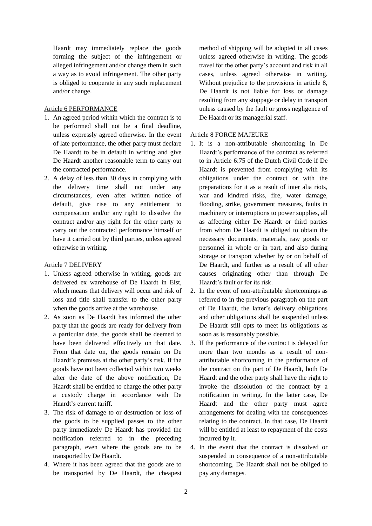Haardt may immediately replace the goods forming the subject of the infringement or alleged infringement and/or change them in such a way as to avoid infringement. The other party is obliged to cooperate in any such replacement and/or change.

# Article 6 PERFORMANCE

- 1. An agreed period within which the contract is to be performed shall not be a final deadline, unless expressly agreed otherwise. In the event of late performance, the other party must declare De Haardt to be in default in writing and give De Haardt another reasonable term to carry out the contracted performance.
- 2. A delay of less than 30 days in complying with the delivery time shall not under any circumstances, even after written notice of default, give rise to any entitlement to compensation and/or any right to dissolve the contract and/or any right for the other party to carry out the contracted performance himself or have it carried out by third parties, unless agreed otherwise in writing.

### Article 7 DELIVERY

- 1. Unless agreed otherwise in writing, goods are delivered ex warehouse of De Haardt in Elst, which means that delivery will occur and risk of loss and title shall transfer to the other party when the goods arrive at the warehouse.
- 2. As soon as De Haardt has informed the other party that the goods are ready for delivery from a particular date, the goods shall be deemed to have been delivered effectively on that date. From that date on, the goods remain on De Haardt's premises at the other party's risk. If the goods have not been collected within two weeks after the date of the above notification, De Haardt shall be entitled to charge the other party a custody charge in accordance with De Haardt's current tariff.
- 3. The risk of damage to or destruction or loss of the goods to be supplied passes to the other party immediately De Haardt has provided the notification referred to in the preceding paragraph, even where the goods are to be transported by De Haardt.
- 4. Where it has been agreed that the goods are to be transported by De Haardt, the cheapest

method of shipping will be adopted in all cases unless agreed otherwise in writing. The goods travel for the other party's account and risk in all cases, unless agreed otherwise in writing. Without prejudice to the provisions in article 8, De Haardt is not liable for loss or damage resulting from any stoppage or delay in transport unless caused by the fault or gross negligence of De Haardt or its managerial staff.

## Article 8 FORCE MAJEURE

- 1. It is a non-attributable shortcoming in De Haardt's performance of the contract as referred to in Article 6:75 of the Dutch Civil Code if De Haardt is prevented from complying with its obligations under the contract or with the preparations for it as a result of inter alia riots, war and kindred risks, fire, water damage, flooding, strike, government measures, faults in machinery or interruptions to power supplies, all as affecting either De Haardt or third parties from whom De Haardt is obliged to obtain the necessary documents, materials, raw goods or personnel in whole or in part, and also during storage or transport whether by or on behalf of De Haardt, and further as a result of all other causes originating other than through De Haardt's fault or for its risk.
- 2. In the event of non-attributable shortcomings as referred to in the previous paragraph on the part of De Haardt, the latter's delivery obligations and other obligations shall be suspended unless De Haardt still opts to meet its obligations as soon as is reasonably possible.
- 3. If the performance of the contract is delayed for more than two months as a result of nonattributable shortcoming in the performance of the contract on the part of De Haardt, both De Haardt and the other party shall have the right to invoke the dissolution of the contract by a notification in writing. In the latter case, De Haardt and the other party must agree arrangements for dealing with the consequences relating to the contract. In that case, De Haardt will be entitled at least to repayment of the costs incurred by it.
- 4. In the event that the contract is dissolved or suspended in consequence of a non-attributable shortcoming, De Haardt shall not be obliged to pay any damages.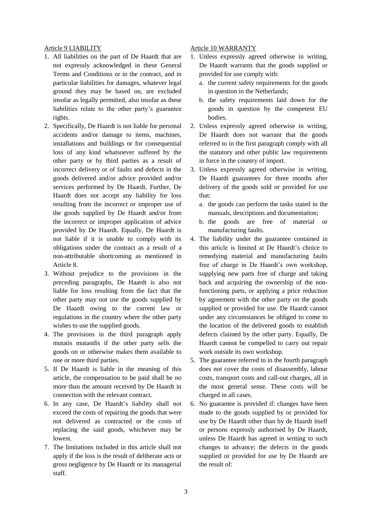#### Article 9 LIABILITY

- 1. All liabilities on the part of De Haardt that are not expressly acknowledged in these General Terms and Conditions or in the contract, and in particular liabilities for damages, whatever legal ground they may be based on, are excluded insofar as legally permitted, also insofar as these liabilities relate to the other party's guarantee rights.
- 2. Specifically, De Haardt is not liable for personal accidents and/or damage to items, machines, installations and buildings or for consequential loss of any kind whatsoever suffered by the other party or by third parties as a result of incorrect delivery or of faults and defects in the goods delivered and/or advice provided and/or services performed by De Haardt. Further, De Haardt does not accept any liability for loss resulting from the incorrect or improper use of the goods supplied by De Haardt and/or from the incorrect or improper application of advice provided by De Haardt. Equally, De Haardt is not liable if it is unable to comply with its obligations under the contract as a result of a non-attributable shortcoming as mentioned in Article 8.
- 3. Without prejudice to the provisions in the preceding paragraphs, De Haardt is also not liable for loss resulting from the fact that the other party may not use the goods supplied by De Haardt owing to the current law or regulations in the country where the other party wishes to use the supplied goods.
- 4. The provisions in the third paragraph apply mutatis mutandis if the other party sells the goods on or otherwise makes them available to one or more third parties.
- 5. If De Haardt is liable in the meaning of this article, the compensation to be paid shall be no more than the amount received by De Haardt in connection with the relevant contract.
- 6. In any case, De Haardt's liability shall not exceed the costs of repairing the goods that were not delivered as contracted or the costs of replacing the said goods, whichever may be lowest.
- 7. The limitations included in this article shall not apply if the loss is the result of deliberate acts or gross negligence by De Haardt or its managerial staff.

### Article 10 WARRANTY

- 1. Unless expressly agreed otherwise in writing, De Haardt warrants that the goods supplied or provided for use comply with:
	- a. the current safety requirements for the goods in question in the Netherlands;
	- b. the safety requirements laid down for the goods in question by the competent EU bodies.
- 2. Unless expressly agreed otherwise in writing, De Haardt does not warrant that the goods referred to in the first paragraph comply with all the statutory and other public law requirements in force in the country of import.
- 3. Unless expressly agreed otherwise in writing, De Haardt guarantees for three months after delivery of the goods sold or provided for use that:
	- a. the goods can perform the tasks stated in the manuals, descriptions and documentation;
	- b. the goods are free of material or manufacturing faults.
- 4. The liability under the guarantee contained in this article is limited at De Haardt's choice to remedying material and manufacturing faults free of charge in De Haardt's own workshop, supplying new parts free of charge and taking back and acquiring the ownership of the nonfunctioning parts, or applying a price reduction by agreement with the other party on the goods supplied or provided for use. De Haardt cannot under any circumstances be obliged to come to the location of the delivered goods to establish defects claimed by the other party. Equally, De Haardt cannot be compelled to carry out repair work outside its own workshop.
- 5. The guarantee referred to in the fourth paragraph does not cover the costs of disassembly, labour costs, transport costs and call-out charges, all in the most general sense. These costs will be charged in all cases.
- 6. No guarantee is provided if: changes have been made to the goods supplied by or provided for use by De Haardt other than by de Haardt itself or persons expressly authorised by De Haardt, unless De Haardt has agreed in writing to such changes in advance; the defects in the goods supplied or provided for use by De Haardt are the result of: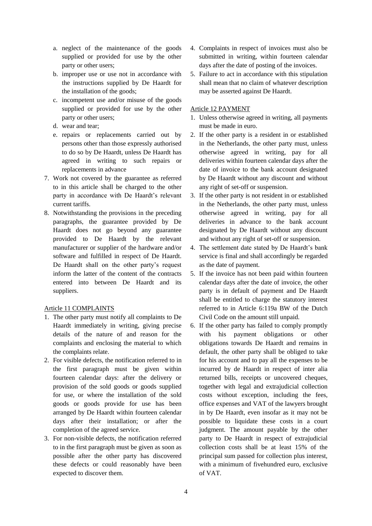- a. neglect of the maintenance of the goods supplied or provided for use by the other party or other users;
- b. improper use or use not in accordance with the instructions supplied by De Haardt for the installation of the goods;
- c. incompetent use and/or misuse of the goods supplied or provided for use by the other party or other users;
- d. wear and tear;
- e. repairs or replacements carried out by persons other than those expressly authorised to do so by De Haardt, unless De Haardt has agreed in writing to such repairs or replacements in advance
- 7. Work not covered by the guarantee as referred to in this article shall be charged to the other party in accordance with De Haardt's relevant current tariffs.
- 8. Notwithstanding the provisions in the preceding paragraphs, the guarantee provided by De Haardt does not go beyond any guarantee provided to De Haardt by the relevant manufacturer or supplier of the hardware and/or software and fulfilled in respect of De Haardt. De Haardt shall on the other party's request inform the latter of the content of the contracts entered into between De Haardt and its suppliers.

# Article 11 COMPLAINTS

- 1. The other party must notify all complaints to De Haardt immediately in writing, giving precise details of the nature of and reason for the complaints and enclosing the material to which the complaints relate.
- 2. For visible defects, the notification referred to in the first paragraph must be given within fourteen calendar days: after the delivery or provision of the sold goods or goods supplied for use, or where the installation of the sold goods or goods provide for use has been arranged by De Haardt within fourteen calendar days after their installation; or after the completion of the agreed service.
- 3. For non-visible defects, the notification referred to in the first paragraph must be given as soon as possible after the other party has discovered these defects or could reasonably have been expected to discover them.
- 4. Complaints in respect of invoices must also be submitted in writing, within fourteen calendar days after the date of posting of the invoices.
- 5. Failure to act in accordance with this stipulation shall mean that no claim of whatever description may be asserted against De Haardt.

# Article 12 PAYMENT

- 1. Unless otherwise agreed in writing, all payments must be made in euro.
- 2. If the other party is a resident in or established in the Netherlands, the other party must, unless otherwise agreed in writing, pay for all deliveries within fourteen calendar days after the date of invoice to the bank account designated by De Haardt without any discount and without any right of set-off or suspension.
- 3. If the other party is not resident in or established in the Netherlands, the other party must, unless otherwise agreed in writing, pay for all deliveries in advance to the bank account designated by De Haardt without any discount and without any right of set-off or suspension.
- 4. The settlement date stated by De Haardt's bank service is final and shall accordingly be regarded as the date of payment.
- 5. If the invoice has not been paid within fourteen calendar days after the date of invoice, the other party is in default of payment and De Haardt shall be entitled to charge the statutory interest referred to in Article 6:119a BW of the Dutch Civil Code on the amount still unpaid.
- 6. If the other party has failed to comply promptly with his payment obligations or other obligations towards De Haardt and remains in default, the other party shall be obliged to take for his account and to pay all the expenses to be incurred by de Haardt in respect of inter alia returned bills, receipts or uncovered cheques, together with legal and extrajudicial collection costs without exception, including the fees, office expenses and VAT of the lawyers brought in by De Haardt, even insofar as it may not be possible to liquidate these costs in a court judgment. The amount payable by the other party to De Haardt in respect of extrajudicial collection costs shall be at least 15% of the principal sum passed for collection plus interest, with a minimum of fivehundred euro, exclusive of VAT.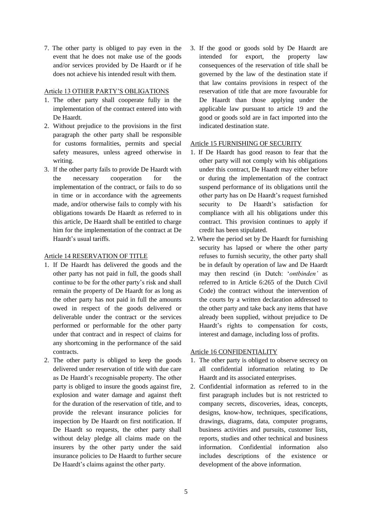7. The other party is obliged to pay even in the event that he does not make use of the goods and/or services provided by De Haardt or if he does not achieve his intended result with them.

#### Article 13 OTHER PARTY'S OBLIGATIONS

- 1. The other party shall cooperate fully in the implementation of the contract entered into with De Haardt.
- 2. Without prejudice to the provisions in the first paragraph the other party shall be responsible for customs formalities, permits and special safety measures, unless agreed otherwise in writing.
- 3. If the other party fails to provide De Haardt with the necessary cooperation for the implementation of the contract, or fails to do so in time or in accordance with the agreements made, and/or otherwise fails to comply with his obligations towards De Haardt as referred to in this article, De Haardt shall be entitled to charge him for the implementation of the contract at De Haardt's usual tariffs.

### Article 14 RESERVATION OF TITLE

- 1. If De Haardt has delivered the goods and the other party has not paid in full, the goods shall continue to be for the other party's risk and shall remain the property of De Haardt for as long as the other party has not paid in full the amounts owed in respect of the goods delivered or deliverable under the contract or the services performed or performable for the other party under that contract and in respect of claims for any shortcoming in the performance of the said contracts.
- 2. The other party is obliged to keep the goods delivered under reservation of title with due care as De Haardt's recognisable property. The other party is obliged to insure the goods against fire, explosion and water damage and against theft for the duration of the reservation of title, and to provide the relevant insurance policies for inspection by De Haardt on first notification. If De Haardt so requests, the other party shall without delay pledge all claims made on the insurers by the other party under the said insurance policies to De Haardt to further secure De Haardt's claims against the other party.

3. If the good or goods sold by De Haardt are intended for export, the property law consequences of the reservation of title shall be governed by the law of the destination state if that law contains provisions in respect of the reservation of title that are more favourable for De Haardt than those applying under the applicable law pursuant to article 19 and the good or goods sold are in fact imported into the indicated destination state.

## Article 15 FURNISHING OF SECURITY

- 1. If De Haardt has good reason to fear that the other party will not comply with his obligations under this contract, De Haardt may either before or during the implementation of the contract suspend performance of its obligations until the other party has on De Haardt's request furnished security to De Haardt's satisfaction for compliance with all his obligations under this contract. This provision continues to apply if credit has been stipulated.
- 2. Where the period set by De Haardt for furnishing security has lapsed or where the other party refuses to furnish security, the other party shall be in default by operation of law and De Haardt may then rescind (in Dutch: '*ontbinden'* as referred to in Article 6:265 of the Dutch Civil Code) the contract without the intervention of the courts by a written declaration addressed to the other party and take back any items that have already been supplied, without prejudice to De Haardt's rights to compensation for costs, interest and damage, including loss of profits.

# Article 16 CONFIDENTIALITY

- 1. The other party is obliged to observe secrecy on all confidential information relating to De Haardt and its associated enterprises.
- 2. Confidential information as referred to in the first paragraph includes but is not restricted to company secrets, discoveries, ideas, concepts, designs, know-how, techniques, specifications, drawings, diagrams, data, computer programs, business activities and pursuits, customer lists, reports, studies and other technical and business information. Confidential information also includes descriptions of the existence or development of the above information.